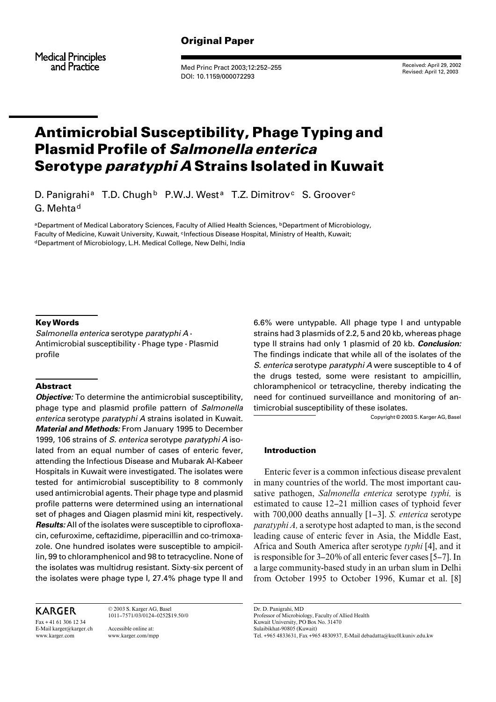**Medical Principles** and Practice

Med Princ Pract 2003;12:252–255 DOI: 10.1159/000072293

Received: April 29, 2002 Revised: April 12, 2003

# Antimicrobial Susceptibility, Phage Typing and Plasmid Profile of Salmonella enterica Serotype *paratyphi A* Strains Isolated in Kuwait

D. Panigrahi<sup>a</sup> T.D. Chugh<sup>b</sup> P.W.J. West<sup>a</sup> T.Z. Dimitrov<sup>c</sup> S. Groover<sup>c</sup> G. Mehta<sup>d</sup>

aDepartment of Medical Laboratory Sciences, Faculty of Allied Health Sciences, **bDepartment of Microbiology**, Faculty of Medicine, Kuwait University, Kuwait, <sup>c</sup>Infectious Disease Hospital, Ministry of Health, Kuwait; <sup>d</sup>Department of Microbiology, L.H. Medical College, New Delhi, India

# Key Words

Salmonella enterica serotype paratyphi  $A \cdot$ Antimicrobial susceptibility  $\cdot$  Phage type  $\cdot$  Plasmid profile

# Abstract

*Objective:* To determine the antimicrobial susceptibility, phage type and plasmid profile pattern of Salmonella enterica serotype paratyphi A strains isolated in Kuwait. **Material and Methods:** From January 1995 to December 1999, 106 strains of S. enterica serotype paratyphi A isolated from an equal number of cases of enteric fever, attending the Infectious Disease and Mubarak Al-Kabeer Hospitals in Kuwait were investigated. The isolates were tested for antimicrobial susceptibility to 8 commonly used antimicrobial agents. Their phage type and plasmid profile patterns were determined using an international set of phages and Qiagen plasmid mini kit, respectively. **Results:** All of the isolates were susceptible to ciprofloxacin, cefuroxime, ceftazidime, piperacillin and co-trimoxazole. One hundred isolates were susceptible to ampicillin, 99 to chloramphenicol and 98 to tetracycline. None of the isolates was multidrug resistant. Sixty-six percent of the isolates were phage type I, 27.4% phage type II and

**KARGER** 

Fax + 41 61 306 12 34 E-Mail karger@karger.ch www.karger.com

© 2003 S. Karger AG, Basel 1011–7571/03/0124–0252\$19.50/0 Accessible online at: www.karger.com/mpp

6.6% were untypable. All phage type I and untypable strains had 3 plasmids of 2.2, 5 and 20 kb, whereas phage type II strains had only 1 plasmid of 20 kb. **Conclusion:** The findings indicate that while all of the isolates of the S. enterica serotype paratyphi A were susceptible to 4 of the drugs tested, some were resistant to ampicillin, chloramphenicol or tetracycline, thereby indicating the need for continued surveillance and monitoring of antimicrobial susceptibility of these isolates.

Copyright © 2003 S. Karger AG, Basel

# Introduction

Enteric fever is a common infectious disease prevalent in many countries of the world. The most important causative pathogen, *Salmonella enterica* serotype *typhi,* is estimated to cause 12–21 million cases of typhoid fever with 700,000 deaths annually [1–3]. *S. enterica* serotype *paratyphi A,* a serotype host adapted to man, is the second leading cause of enteric fever in Asia, the Middle East, Africa and South America after serotype *typhi* [4], and it is responsible for 3–20% of all enteric fever cases [5–7]. In a large community-based study in an urban slum in Delhi from October 1995 to October 1996, Kumar et al. [8]

Dr. D. Panigrahi, MD Professor of Microbiology, Faculty of Allied Health Kuwait University, PO Box No. 31470 Sulaibikhat-90805 (Kuwait) Tel. +965 4833631, Fax +965 4830937, E-Mail debadatta@kuc0l.kuniv.edu.kw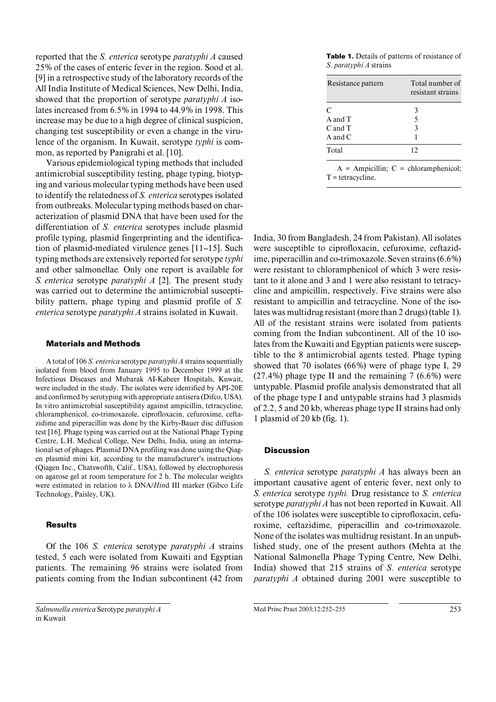reported that the *S. enterica* serotype *paratyphi A* caused 25% of the cases of enteric fever in the region. Sood et al. [9] in a retrospective study of the laboratory records of the All India Institute of Medical Sciences, New Delhi, India, showed that the proportion of serotype *paratyphi A* isolates increased from 6.5% in 1994 to 44.9% in 1998. This increase may be due to a high degree of clinical suspicion, changing test susceptibility or even a change in the virulence of the organism. In Kuwait, serotype *typhi* is common, as reported by Panigrahi et al. [10].

Various epidemiological typing methods that included antimicrobial susceptibility testing, phage typing, biotyping and various molecular typing methods have been used to identify the relatedness of *S. enterica* serotypes isolated from outbreaks. Molecular typing methods based on characterization of plasmid DNA that have been used for the differentiation of *S. enterica* serotypes include plasmid profile typing, plasmid fingerprinting and the identification of plasmid-mediated virulence genes [11–15]. Such typing methods are extensively reported for serotype *typhi* and other salmonellae*.* Only one report is available for *S. enterica* serotype *paratyphi A* [2]. The present study was carried out to determine the antimicrobial susceptibility pattern, phage typing and plasmid profile of *S. enterica* serotype *paratyphi A* strains isolated in Kuwait.

#### Materials and Methods

A total of 106 *S. enterica* serotype *paratyphi A* strains sequentially isolated from blood from January 1995 to December 1999 at the Infectious Diseases and Mubarak AI-Kabeer Hospitals, Kuwait, were included in the study. The isolates were identified by API-20E and confirmed by serotyping with appropriate antisera (Difco, USA). In vitro antimicrobial susceptibility against ampicillin, tetracycline, chloramphenicol, co-trimoxazole, ciprofloxacin, cefuroxime, ceftazidime and piperacillin was done by the Kirby-Bauer disc diffusion test [16]. Phage typing was carried out at the National Phage Typing Centre, L.H. Medical College, New Delhi, India, using an international set of phages. Plasmid DNA profiling was done using the Qiagen plasmid mini kit, according to the manufacturer's instructions (Qiagen Inc., Chatswofth, Calif., USA), followed by electrophoresis on agarose gel at room temperature for 2 h. The molecular weights were estimated in relation to  $\lambda$  DNA/*Hind III* marker (Gibco Life Technology, Paisley, UK).

#### Results

Of the 106 *S. enterica* serotype *paratyphi A* strains tested, 5 each were isolated from Kuwaiti and Egyptian patients. The remaining 96 strains were isolated from patients coming from the Indian subcontinent (42 from

Table 1. Details of patterns of resistance of *S. paratyphi A* strains

| Resistance pattern | Total number of<br>resistant strains |
|--------------------|--------------------------------------|
| C                  | 3                                    |
| $A$ and $T$        | 5                                    |
| $C$ and $T$        | 3                                    |
| A and $C$          |                                      |
| Total              | 12                                   |
|                    |                                      |

 $A = Ampicillin$ ;  $C = chloramphenicol$ ;  $T =$  tetracycline.

India, 30 from Bangladesh, 24 from Pakistan). All isolates were susceptible to ciprofloxacin, cefuroxime, ceftazidime, piperacillin and co-trimoxazole. Seven strains (6.6%) were resistant to chloramphenicol of which 3 were resistant to it alone and 3 and 1 were also resistant to tetracycline and ampicillin, respectively. Five strains were also resistant to ampicillin and tetracycline. None of the isolates was multidrug resistant (more than 2 drugs) (table 1). All of the resistant strains were isolated from patients coming from the Indian subcontinent. All of the 10 isolates from the Kuwaiti and Egyptian patients were susceptible to the 8 antimicrobial agents tested. Phage typing showed that 70 isolates (66%) were of phage type I, 29 (27.4%) phage type II and the remaining 7 (6.6%) were untypable. Plasmid profile analysis demonstrated that all of the phage type I and untypable strains had 3 plasmids of 2.2, 5 and 20 kb, whereas phage type II strains had only 1 plasmid of 20 kb (fig. 1).

# **Discussion**

*S. enterica* serotype *paratyphi A* has always been an important causative agent of enteric fever, next only to *S. enterica* serotype *typhi.* Drug resistance to *S. enterica* serotype *paratyphi A* has not been reported in Kuwait. All of the 106 isolates were susceptible to ciprofloxacin, cefuroxime, ceftazidime, piperacillin and co-trimoxazole. None of the isolates was multidrug resistant. In an unpublished study, one of the present authors (Mehta at the National Salmonella Phage Typing Centre, New Delhi, India) showed that 215 strains of *S. enterica* serotype *paratyphi A* obtained during 2001 were susceptible to

*Salmonella enterica* Serotype *paratyphi A* in Kuwait

Med Princ Pract 2003;12:252–255 253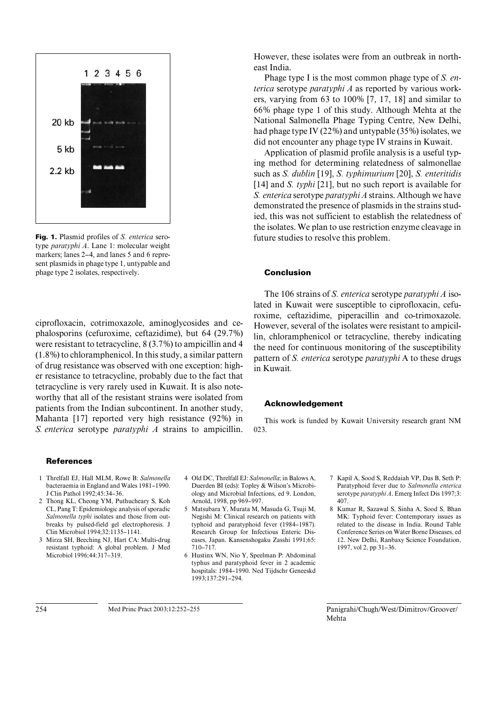

Fig. 1. Plasmid profiles of *S. enterica* serotype *paratyphi A*. Lane 1: molecular weight markers; lanes 2–4, and lanes 5 and 6 represent plasmids in phage type 1, untypable and phage type 2 isolates, respectively.

ciprofloxacin, cotrimoxazole, aminoglycosides and cephalosporins (cefuroxime, ceftazidime), but 64 (29.7%) were resistant to tetracycline, 8 (3.7%) to ampicillin and 4 (1.8%) to chloramphenicol. In this study, a similar pattern of drug resistance was observed with one exception: higher resistance to tetracycline, probably due to the fact that tetracycline is very rarely used in Kuwait. It is also noteworthy that all of the resistant strains were isolated from patients from the Indian subcontinent. In another study, Mahanta [17] reported very high resistance (92%) in *S. enterica* serotype *paratyphi A* strains to ampicillin.

# **References**

- 1 Threlfall EJ, Hall MLM, Rowe B: *Salmonella* bacteraemia in England and Wales 1981–1990. J Clin Pathol 1992;45:34–36.
- 2 Thong KL, Cheong YM, Puthucheary S, Koh CL, Pang T: Epidemiologic analysis of sporadic *Salmonella typhi* isolates and those from outbreaks by pulsed-field gel electrophoresis. J Clin Microbiol 1994;32:1135–1141.
- 3 Mirza SH, Beeching NJ, Hart CA: Multi-drug resistant typhoid: A global problem. J Med Microbiol 1996;44:317–319.

4 Old DC, Threlfall EJ: *Salmonella*; in Balows A, Duerden BI (eds): Topley & Wilson's Microbiology and Microbial Infections, ed 9. London, Arnold, 1998, pp 969–997.

- 5 Matsubara Y, Murata M, Masuda G, Tsuji M, Negishi M: Clinical research on patients with typhoid and paratyphoid fever (1984–1987). Research Group for Infectious Enteric Diseases, Japan. Kansenshogaku Zasshi 1991;65: 710–717.
- 6 Hustinx WN, Nio Y, Speelman P: Abdominal typhus and paratyphoid fever in 2 academic hospitals: 1984–1990. Ned Tijdschr Geneeskd 1993;137:291–294.
- 7 Kapil A, Sood S, Reddaiah VP, Das B, Seth P: Paratyphoid fever due to *Salmonella enterica* serotype *paratyphi A*. Emerg Infect Dis 1997;3: 407.
- 8 Kumar R, Sazawal S, Sinha A, Sood S, Bhan MK: Typhoid fever: Contemporary issues as related to the disease in India. Round Table Conference Series on Water Borne Diseases, ed 12. New Delhi, Ranbaxy Science Foundation, 1997, vol 2, pp 31–36.

254 Med Princ Pract 2003;12:252–255 Panigrahi/Chugh/West/Dimitrov/Groover/ Mehta

However, these isolates were from an outbreak in northeast India.

Phage type I is the most common phage type of *S. enterica* serotype *paratyphi A* as reported by various workers, varying from 63 to 100% [7, 17, 18] and similar to 66% phage type 1 of this study. Although Mehta at the National Salmonella Phage Typing Centre, New Delhi, had phage type IV (22%) and untypable (35%) isolates, we did not encounter any phage type IV strains in Kuwait.

Application of plasmid profile analysis is a useful typing method for determining relatedness of salmonellae such as *S. dublin* [19], *S. typhimurium* [20], *S. enteritidis* [14] and *S. typhi* [21], but no such report is available for *S. enterica* serotype *paratyphi A* strains. Although we have demonstrated the presence of plasmids in the strains studied, this was not sufficient to establish the relatedness of the isolates. We plan to use restriction enzyme cleavage in future studies to resolve this problem.

### Conclusion

The 106 strains of *S. enterica* serotype *paratyphi A* isolated in Kuwait were susceptible to ciprofloxacin, cefuroxime, ceftazidime, piperacillin and co-trimoxazole. However, several of the isolates were resistant to ampicillin, chloramphenicol or tetracycline, thereby indicating the need for continuous monitoring of the susceptibility pattern of *S. enterica* serotype *paratyphi* A to these drugs in Kuwait*.*

#### Acknowledgement

This work is funded by Kuwait University research grant NM 023.